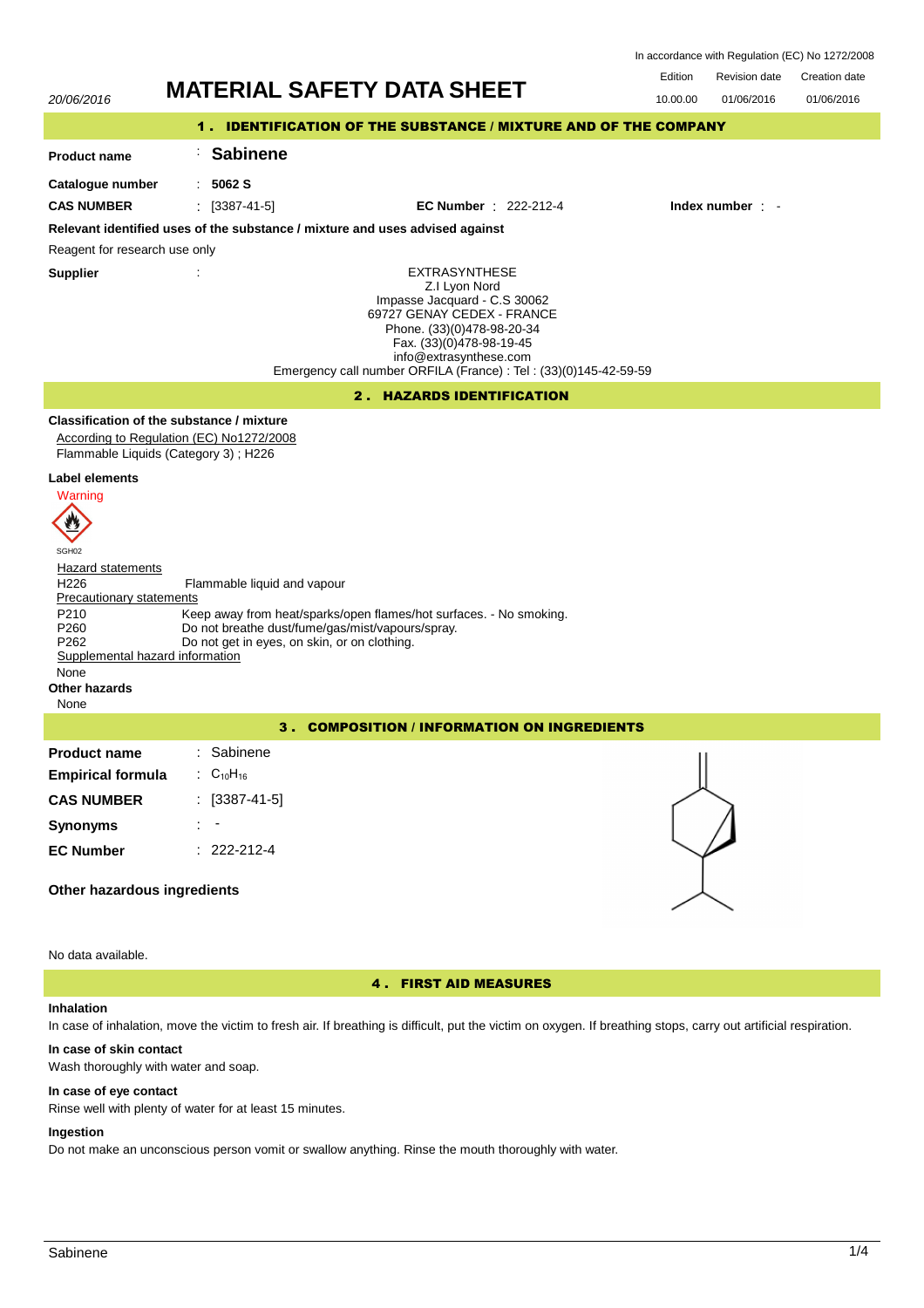In accordance with Regulation (EC) No 1272/2008



4 . FIRST AID MEASURES

## **Inhalation**

No data available.

In case of inhalation, move the victim to fresh air. If breathing is difficult, put the victim on oxygen. If breathing stops, carry out artificial respiration.

### **In case of skin contact**

Wash thoroughly with water and soap.

#### **In case of eye contact**

Rinse well with plenty of water for at least 15 minutes.

# **Ingestion**

Do not make an unconscious person vomit or swallow anything. Rinse the mouth thoroughly with water.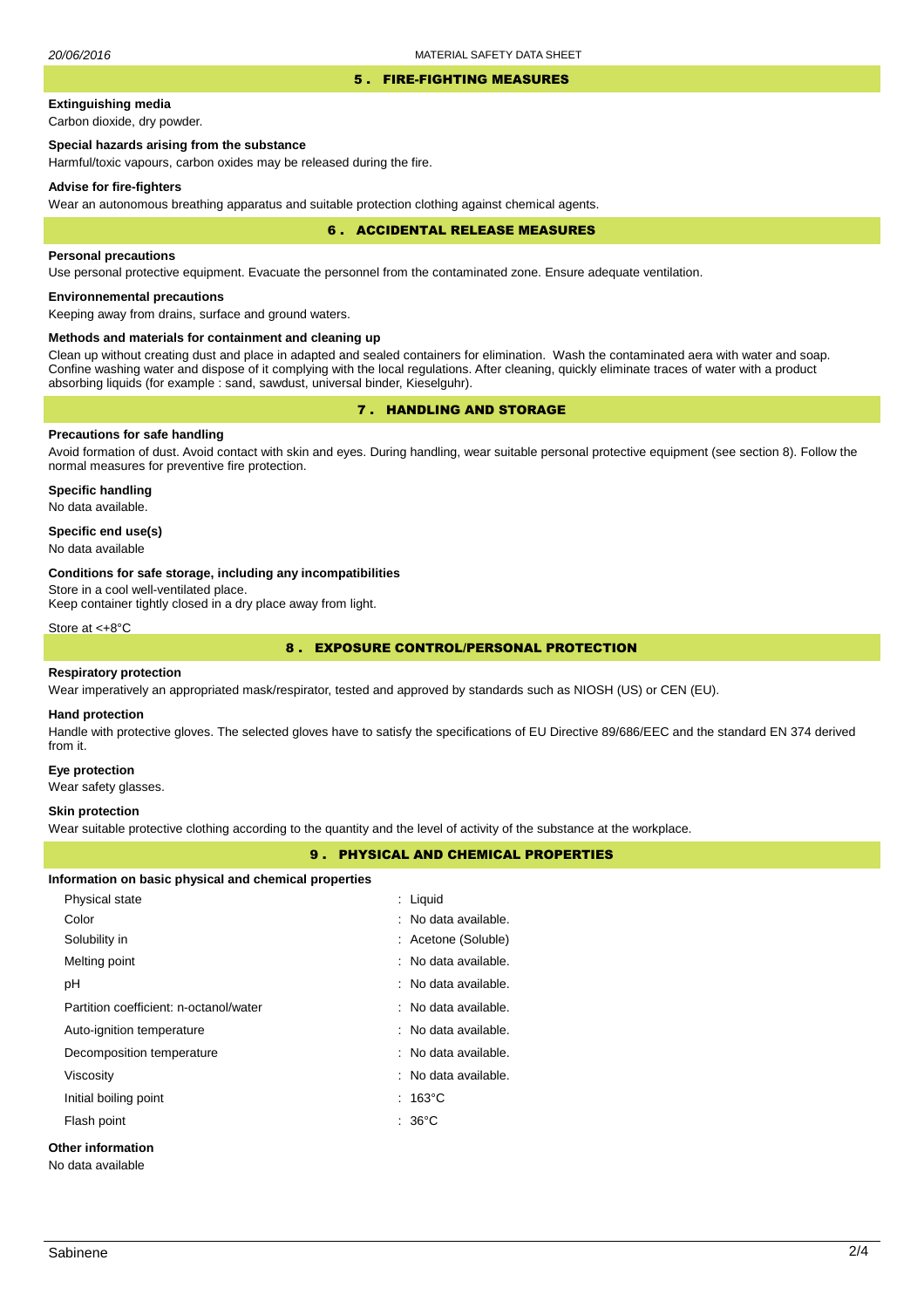### 5 . FIRE-FIGHTING MEASURES

# **Extinguishing media**

Carbon dioxide, dry powder.

# **Special hazards arising from the substance**

Harmful/toxic vapours, carbon oxides may be released during the fire.

### **Advise for fire-fighters**

Wear an autonomous breathing apparatus and suitable protection clothing against chemical agents.

#### 6 . ACCIDENTAL RELEASE MEASURES

### **Personal precautions**

Use personal protective equipment. Evacuate the personnel from the contaminated zone. Ensure adequate ventilation.

## **Environnemental precautions**

Keeping away from drains, surface and ground waters.

### **Methods and materials for containment and cleaning up**

Clean up without creating dust and place in adapted and sealed containers for elimination. Wash the contaminated aera with water and soap. Confine washing water and dispose of it complying with the local regulations. After cleaning, quickly eliminate traces of water with a product absorbing liquids (for example : sand, sawdust, universal binder, Kieselguhr).

# 7 . HANDLING AND STORAGE

# **Precautions for safe handling**

Avoid formation of dust. Avoid contact with skin and eyes. During handling, wear suitable personal protective equipment (see section 8). Follow the normal measures for preventive fire protection.

**Specific handling** No data available.

## **Specific end use(s)**

No data available

### **Conditions for safe storage, including any incompatibilities**

Store in a cool well-ventilated place.

Keep container tightly closed in a dry place away from light.

Store at <+8°C

# 8 . EXPOSURE CONTROL/PERSONAL PROTECTION

### **Respiratory protection**

Wear imperatively an appropriated mask/respirator, tested and approved by standards such as NIOSH (US) or CEN (EU).

## **Hand protection**

Handle with protective gloves. The selected gloves have to satisfy the specifications of EU Directive 89/686/EEC and the standard EN 374 derived from it.

#### **Eye protection**

Wear safety glasses.

## **Skin protection**

Wear suitable protective clothing according to the quantity and the level of activity of the substance at the workplace.

## 9 . PHYSICAL AND CHEMICAL PROPERTIES

| Information on basic physical and chemical properties |  |  |  |
|-------------------------------------------------------|--|--|--|
|-------------------------------------------------------|--|--|--|

| Physical state                         | : Liquid             |  |  |  |
|----------------------------------------|----------------------|--|--|--|
| Color                                  | : No data available. |  |  |  |
| Solubility in                          | : Acetone (Soluble)  |  |  |  |
| Melting point                          | : No data available. |  |  |  |
| рH                                     | : No data available. |  |  |  |
| Partition coefficient: n-octanol/water | : No data available. |  |  |  |
| Auto-ignition temperature              | : No data available. |  |  |  |
| Decomposition temperature              | : No data available. |  |  |  |
| Viscosity                              | : No data available. |  |  |  |
| Initial boiling point                  | $:~163^{\circ}$ C    |  |  |  |
| Flash point                            | $: 36^{\circ}$ C     |  |  |  |
| Other information                      |                      |  |  |  |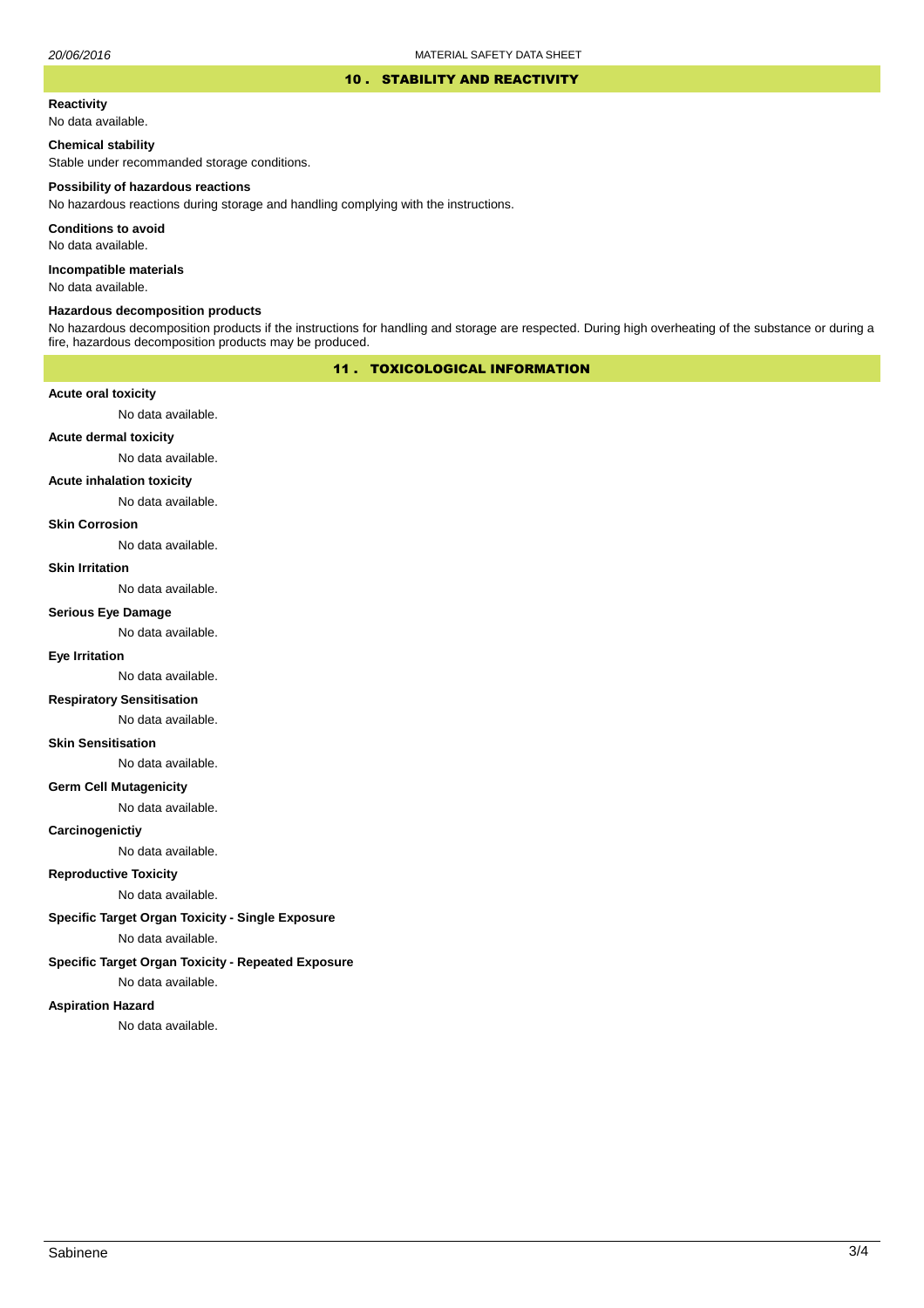### 10 . STABILITY AND REACTIVITY

#### **Reactivity**

No data available.

# **Chemical stability**

Stable under recommanded storage conditions.

#### **Possibility of hazardous reactions**

No hazardous reactions during storage and handling complying with the instructions.

**Conditions to avoid**

No data available.

**Incompatible materials**

No data available.

## **Hazardous decomposition products**

No hazardous decomposition products if the instructions for handling and storage are respected. During high overheating of the substance or during a fire, hazardous decomposition products may be produced.

## 11 . TOXICOLOGICAL INFORMATION

### **Acute oral toxicity**

No data available.

# **Acute dermal toxicity**

No data available.

#### **Acute inhalation toxicity**

No data available.

## **Skin Corrosion**

No data available.

#### **Skin Irritation**

No data available.

# **Serious Eye Damage**

No data available.

## **Eye Irritation**

No data available.

## **Respiratory Sensitisation**

No data available.

### **Skin Sensitisation**

No data available.

### **Germ Cell Mutagenicity**

No data available.

### **Carcinogenictiy**

No data available.

# **Reproductive Toxicity**

No data available.

### **Specific Target Organ Toxicity - Single Exposure**

No data available.

## **Specific Target Organ Toxicity - Repeated Exposure**

No data available.

### **Aspiration Hazard**

No data available.